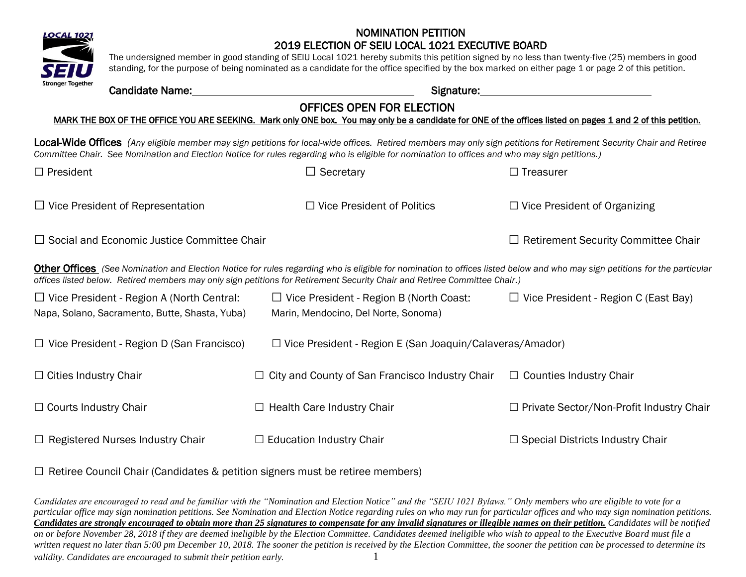

The undersigned member in good standing of SEIU Local 1021 hereby submits this petition signed by no less than twenty-five (25) members in good standing, for the purpose of being nominated as a candidate for the office specified by the box marked on either page 1 or page 2 of this petition.

### Candidate Name: Signature:

## OFFICES OPEN FOR ELECTION

#### MARK THE BOX OF THE OFFICE YOU ARE SEEKING. Mark only ONE box. You may only be a candidate for ONE of the offices listed on pages 1 and 2 of this petition.

Local-Wide Offices *(Any eligible member may sign petitions for local-wide offices. Retired members may only sign petitions for Retirement Security Chair and Retiree Committee Chair. See Nomination and Election Notice for rules regarding who is eligible for nomination to offices and who may sign petitions.)* 

| $\Box$ President                                   | Secretary                                                                                                                                                                                                                                                                                                      | $\Box$ Treasurer                            |  |  |  |  |  |  |
|----------------------------------------------------|----------------------------------------------------------------------------------------------------------------------------------------------------------------------------------------------------------------------------------------------------------------------------------------------------------------|---------------------------------------------|--|--|--|--|--|--|
| $\Box$ Vice President of Representation            | $\Box$ Vice President of Politics                                                                                                                                                                                                                                                                              | $\Box$ Vice President of Organizing         |  |  |  |  |  |  |
| $\Box$ Social and Economic Justice Committee Chair |                                                                                                                                                                                                                                                                                                                | $\Box$ Retirement Security Committee Chair  |  |  |  |  |  |  |
|                                                    | <b>Other Offices</b> (See Nomination and Election Notice for rules regarding who is eligible for nomination to offices listed below and who may sign petitions for the particular<br>offices listed below. Retired members may only sign petitions for Retirement Security Chair and Retiree Committee Chair.) |                                             |  |  |  |  |  |  |
| $\Box$ Vice President - Region A (North Central:   | $\Box$ Vice President - Region B (North Coast:                                                                                                                                                                                                                                                                 | $\Box$ Vice President - Region C (East Bay) |  |  |  |  |  |  |
| Napa, Solano, Sacramento, Butte, Shasta, Yuba)     | Marin, Mendocino, Del Norte, Sonoma)                                                                                                                                                                                                                                                                           |                                             |  |  |  |  |  |  |
| $\Box$ Vice President - Region D (San Francisco)   | $\Box$ Vice President - Region E (San Joaquin/Calaveras/Amador)                                                                                                                                                                                                                                                |                                             |  |  |  |  |  |  |
| $\Box$ Cities Industry Chair                       | $\Box$ City and County of San Francisco Industry Chair                                                                                                                                                                                                                                                         | $\Box$ Counties Industry Chair              |  |  |  |  |  |  |
| $\Box$ Courts Industry Chair                       | $\Box$ Health Care Industry Chair                                                                                                                                                                                                                                                                              | □ Private Sector/Non-Profit Industry Chair  |  |  |  |  |  |  |
| $\Box$ Registered Nurses Industry Chair            | $\Box$ Education Industry Chair                                                                                                                                                                                                                                                                                | $\Box$ Special Districts Industry Chair     |  |  |  |  |  |  |

 $\Box$  Retiree Council Chair (Candidates & petition signers must be retiree members)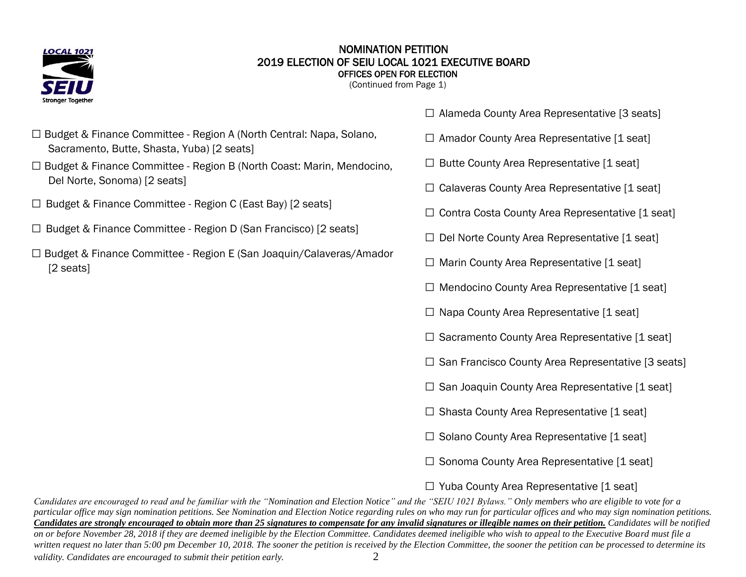

#### NOMINATION PETITION 2019 ELECTION OF SEIU LOCAL 1021 EXECUTIVE BOARD OFFICES OPEN FOR ELECTION

(Continued from Page 1)

- □ Budget & Finance Committee Region A (North Central: Napa, Solano, Sacramento, Butte, Shasta, Yuba) [2 seats]
- l. □ Budget & Finance Committee - Region B (North Coast: Marin, Mendocino, Del Norte, Sonoma) [2 seats]
- $\Box$  Budget & Finance Committee Region C (East Bay) [2 seats]
- □ Budget & Finance Committee Region D (San Francisco) [2 seats]
- □ Budget & Finance Committee Region E (San Joaquin/Calaveras/Amador [2 seats]
- $\Box$  Alameda County Area Representative [3 seats]
- $\square$  Amador County Area Representative [1 seat]
- $\Box$  Butte County Area Representative [1 seat]
- $\Box$  Calaveras County Area Representative [1 seat]
- $\Box$  Contra Costa County Area Representative [1 seat]
- $\Box$  Del Norte County Area Representative [1 seat]
- $\Box$  Marin County Area Representative [1 seat]
- $\square$  Mendocino County Area Representative [1 seat]
- $\Box$  Napa County Area Representative [1 seat]
- $\square$  Sacramento County Area Representative [1 seat]
- $\square$  San Francisco County Area Representative [3 seats]
- $\square$  San Joaquin County Area Representative [1 seat]
- $\square$  Shasta County Area Representative [1 seat]
- $\square$  Solano County Area Representative [1 seat]
- $\square$  Sonoma County Area Representative [1 seat]

## $\Box$  Yuba County Area Representative [1 seat]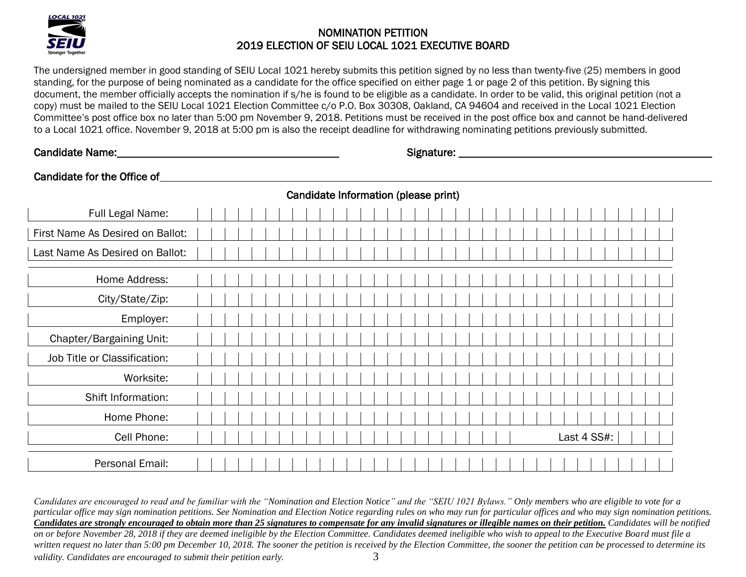

The undersigned member in good standing of SEIU Local 1021 hereby submits this petition signed by no less than twenty-five (25) members in good standing, for the purpose of being nominated as a candidate for the office specified on either page 1 or page 2 of this petition. By signing this document, the member officially accepts the nomination if s/he is found to be eligible as a candidate. In order to be valid, this original petition (not a copy) must be mailed to the SEIU Local 1021 Election Committee c/o P.O. Box 30308, Oakland, CA 94604 and received in the Local 1021 Election Committee's post office box no later than 5:00 pm November 9, 2018. Petitions must be received in the post office box and cannot be hand-delivered to a Local 1021 office. November 9, 2018 at 5:00 pm is also the receipt deadline for withdrawing nominating petitions previously submitted.

Candidate Name: Name: Name: Name: Name of the Signature: Name of the Signature: Name of the Signature: Name of the Signature: Name of the Signature: Name of the Signature: Name of the Signature: Name of the Signature: Name

# Candidate for the Office of **Example 2018 Candidate for the Office of**

|                                  |  |  |  |  |  |  | Candidate Information (please print) |  |  |  |  |  |  |  |  |  |             |  |  |  |
|----------------------------------|--|--|--|--|--|--|--------------------------------------|--|--|--|--|--|--|--|--|--|-------------|--|--|--|
| Full Legal Name:                 |  |  |  |  |  |  |                                      |  |  |  |  |  |  |  |  |  |             |  |  |  |
| First Name As Desired on Ballot: |  |  |  |  |  |  |                                      |  |  |  |  |  |  |  |  |  |             |  |  |  |
| Last Name As Desired on Ballot:  |  |  |  |  |  |  |                                      |  |  |  |  |  |  |  |  |  |             |  |  |  |
| Home Address:                    |  |  |  |  |  |  |                                      |  |  |  |  |  |  |  |  |  |             |  |  |  |
| City/State/Zip:                  |  |  |  |  |  |  |                                      |  |  |  |  |  |  |  |  |  |             |  |  |  |
| Employer:                        |  |  |  |  |  |  |                                      |  |  |  |  |  |  |  |  |  |             |  |  |  |
| Chapter/Bargaining Unit:         |  |  |  |  |  |  |                                      |  |  |  |  |  |  |  |  |  |             |  |  |  |
| Job Title or Classification:     |  |  |  |  |  |  |                                      |  |  |  |  |  |  |  |  |  |             |  |  |  |
| Worksite:                        |  |  |  |  |  |  |                                      |  |  |  |  |  |  |  |  |  |             |  |  |  |
| Shift Information:               |  |  |  |  |  |  |                                      |  |  |  |  |  |  |  |  |  |             |  |  |  |
| Home Phone:                      |  |  |  |  |  |  |                                      |  |  |  |  |  |  |  |  |  |             |  |  |  |
| Cell Phone:                      |  |  |  |  |  |  |                                      |  |  |  |  |  |  |  |  |  | Last 4 SS#: |  |  |  |
| Personal Email:                  |  |  |  |  |  |  |                                      |  |  |  |  |  |  |  |  |  |             |  |  |  |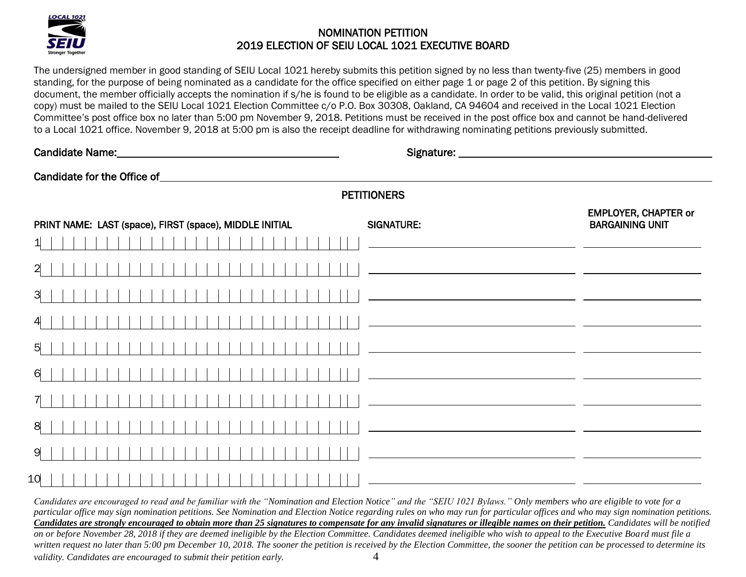

The undersigned member in good standing of SEIU Local 1021 hereby submits this petition signed by no less than twenty-five (25) members in good standing, for the purpose of being nominated as a candidate for the office specified on either page 1 or page 2 of this petition. By signing this document, the member officially accepts the nomination if s/he is found to be eligible as a candidate. In order to be valid, this original petition (not a copy) must be mailed to the SEIU Local 1021 Election Committee c/o P.O. Box 30308, Oakland, CA 94604 and received in the Local 1021 Election Committee's post office box no later than 5:00 pm November 9, 2018. Petitions must be received in the post office box and cannot be hand-delivered to a Local 1021 office. November 9, 2018 at 5:00 pm is also the receipt deadline for withdrawing nominating petitions previously submitted.

|                                                         | <b>PETITIONERS</b>                                                                                                                                                                                                                   |
|---------------------------------------------------------|--------------------------------------------------------------------------------------------------------------------------------------------------------------------------------------------------------------------------------------|
| PRINT NAME: LAST (space), FIRST (space), MIDDLE INITIAL | <b>EMPLOYER, CHAPTER or</b><br><b>BARGAINING UNIT</b><br><b>SIGNATURE:</b>                                                                                                                                                           |
|                                                         |                                                                                                                                                                                                                                      |
|                                                         | <u> 1989 - Johann Barn, fransk politik (d. 1989)</u>                                                                                                                                                                                 |
|                                                         |                                                                                                                                                                                                                                      |
|                                                         | <u> 1989 - Johann Harry Harry Harry Harry Harry Harry Harry Harry Harry Harry Harry Harry Harry Harry Harry Harry Harry Harry Harry Harry Harry Harry Harry Harry Harry Harry Harry Harry Harry Harry Harry Harry Harry Harry Ha</u> |
| 5                                                       | <u> 1990 - Johann John Stone, mars et al. (1990)</u>                                                                                                                                                                                 |
| 6                                                       | <u> 1989 - Andrea Barbara, poeta esperanto-poeta esperanto-poeta esperanto-poeta esperanto-poeta esperanto-poeta</u>                                                                                                                 |
|                                                         | <u> 1980 - Andrea Stadt, fransk politik (d. 1980)</u>                                                                                                                                                                                |
| 8                                                       |                                                                                                                                                                                                                                      |
| 9                                                       |                                                                                                                                                                                                                                      |
| 10                                                      | <u> 1999 - Jan Barnett, fransk politik (d. 1989)</u>                                                                                                                                                                                 |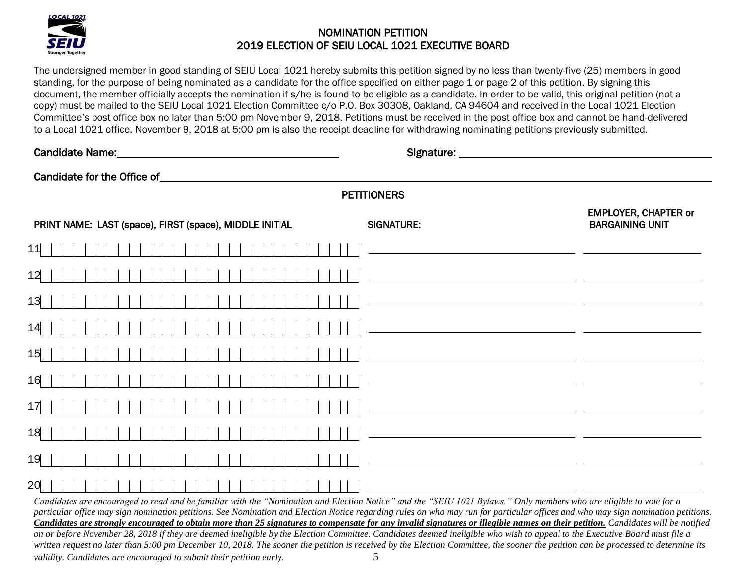

The undersigned member in good standing of SEIU Local 1021 hereby submits this petition signed by no less than twenty-five (25) members in good standing, for the purpose of being nominated as a candidate for the office specified on either page 1 or page 2 of this petition. By signing this document, the member officially accepts the nomination if s/he is found to be eligible as a candidate. In order to be valid, this original petition (not a copy) must be mailed to the SEIU Local 1021 Election Committee c/o P.O. Box 30308, Oakland, CA 94604 and received in the Local 1021 Election Committee's post office box no later than 5:00 pm November 9, 2018. Petitions must be received in the post office box and cannot be hand-delivered to a Local 1021 office. November 9, 2018 at 5:00 pm is also the receipt deadline for withdrawing nominating petitions previously submitted.

| Candidate Name: Mannel Mannel Mannel Mannel Mannel Mannel Mannel Mannel Mannel Mannel Mannel Mannel Mannel Man                                                                                                                |                                                                                                                       |
|-------------------------------------------------------------------------------------------------------------------------------------------------------------------------------------------------------------------------------|-----------------------------------------------------------------------------------------------------------------------|
| Candidate for the Office of entries and the state of the state of the state of the state of the state of the state of the state of the state of the state of the state of the state of the state of the state of the state of |                                                                                                                       |
|                                                                                                                                                                                                                               | <b>PETITIONERS</b>                                                                                                    |
| PRINT NAME: LAST (space), FIRST (space), MIDDLE INITIAL                                                                                                                                                                       | <b>EMPLOYER, CHAPTER or</b><br><b>BARGAINING UNIT</b><br><b>SIGNATURE:</b>                                            |
| 11                                                                                                                                                                                                                            |                                                                                                                       |
| 12                                                                                                                                                                                                                            |                                                                                                                       |
| 13                                                                                                                                                                                                                            | <u> 1989 - Johann Stoff, deutscher Stoff, der Stoff, der Stoff, der Stoff, der Stoff, der Stoff, der Stoff, der S</u> |
| 14                                                                                                                                                                                                                            | <u> 1989 - Johann Stoff, deutscher Stoff, der Stoff, der Stoff, der Stoff, der Stoff, der Stoff, der Stoff, der S</u> |
| 15                                                                                                                                                                                                                            | <u> 1989 - Andrea Stadt, fransk politik (d. 1989)</u>                                                                 |
| 16                                                                                                                                                                                                                            | <u> 1989 - Andrea Brand, amerikansk politik (d. 1989)</u>                                                             |
| 17                                                                                                                                                                                                                            | <u> 1989 - Johann John Stone, mars et al. (</u>                                                                       |
| 18                                                                                                                                                                                                                            | <u> 1989 - Jan Samuel Barbara, poeta estable</u>                                                                      |
| 19                                                                                                                                                                                                                            | <u> 1980 - Andrea Barbara, poeta espainiar político e a contrar a contrar a contrar a contrar a contrar a con</u>     |
| 20<br>Capitation are encouraged to read and be familiar with the "Nomination and Election Notice" and the "SEIH 1021 Bylaws" Only members who are eligible to yote for a                                                      |                                                                                                                       |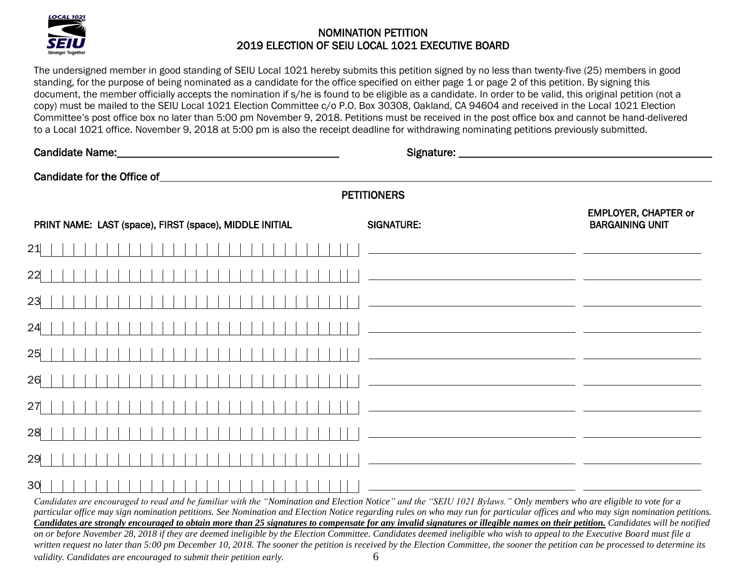

The undersigned member in good standing of SEIU Local 1021 hereby submits this petition signed by no less than twenty-five (25) members in good standing, for the purpose of being nominated as a candidate for the office specified on either page 1 or page 2 of this petition. By signing this document, the member officially accepts the nomination if s/he is found to be eligible as a candidate. In order to be valid, this original petition (not a copy) must be mailed to the SEIU Local 1021 Election Committee c/o P.O. Box 30308, Oakland, CA 94604 and received in the Local 1021 Election Committee's post office box no later than 5:00 pm November 9, 2018. Petitions must be received in the post office box and cannot be hand-delivered to a Local 1021 office. November 9, 2018 at 5:00 pm is also the receipt deadline for withdrawing nominating petitions previously submitted.

| Candidate for the Office of <u>container and the set of</u> candidate for the Office of                                                                                 |                                                                                                                        |
|-------------------------------------------------------------------------------------------------------------------------------------------------------------------------|------------------------------------------------------------------------------------------------------------------------|
|                                                                                                                                                                         | <b>PETITIONERS</b>                                                                                                     |
| PRINT NAME: LAST (space), FIRST (space), MIDDLE INITIAL                                                                                                                 | <b>EMPLOYER, CHAPTER or</b><br><b>BARGAINING UNIT</b><br><b>SIGNATURE:</b>                                             |
| 21                                                                                                                                                                      |                                                                                                                        |
| 22                                                                                                                                                                      |                                                                                                                        |
| 23                                                                                                                                                                      | <u> 1989 - Johann Barn, fransk politik (d. 1989)</u>                                                                   |
| 24                                                                                                                                                                      | <u> 1989 - Jan James James Barnett, politik eta politik eta politik eta politik eta politik eta politik eta poli</u>   |
| 25                                                                                                                                                                      | <u> 1989 - Andrea Brand, Amerikaansk politiker († 1908)</u>                                                            |
| 26                                                                                                                                                                      | <u> 1989 - Jan Samuel Barbara, poeta estas política en la provincia de la provincia de la provincia de la provinci</u> |
| 27                                                                                                                                                                      | <u> 1989 - Johann Barn, fransk politik (d. 1989)</u>                                                                   |
| 28                                                                                                                                                                      | <u> 1989 - Jan Samuel Barbara, poeta estadounidense en la contrada de la contrada de la contrada de la contrada d</u>  |
| 29                                                                                                                                                                      | <u> 1989 - Andrea Andrew Maria (h. 1989).</u>                                                                          |
| 30<br>Capidates are encouraged to read and he familiar with the "Nomination and Flection Notice" and the "SEIH 1021 Bylaws" Only members who are eligible to yote for a |                                                                                                                        |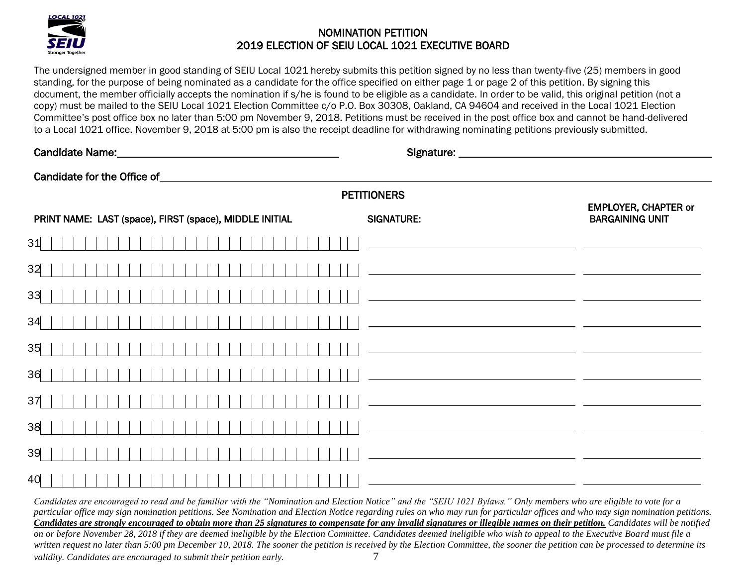

The undersigned member in good standing of SEIU Local 1021 hereby submits this petition signed by no less than twenty-five (25) members in good standing, for the purpose of being nominated as a candidate for the office specified on either page 1 or page 2 of this petition. By signing this document, the member officially accepts the nomination if s/he is found to be eligible as a candidate. In order to be valid, this original petition (not a copy) must be mailed to the SEIU Local 1021 Election Committee c/o P.O. Box 30308, Oakland, CA 94604 and received in the Local 1021 Election Committee's post office box no later than 5:00 pm November 9, 2018. Petitions must be received in the post office box and cannot be hand-delivered to a Local 1021 office. November 9, 2018 at 5:00 pm is also the receipt deadline for withdrawing nominating petitions previously submitted.

| Candidate Name: Manual According to the Candidate Name:          |                                                                                                                                                                                                                                      |
|------------------------------------------------------------------|--------------------------------------------------------------------------------------------------------------------------------------------------------------------------------------------------------------------------------------|
| Candidate for the Office of Canadian Candidate for the Office of |                                                                                                                                                                                                                                      |
|                                                                  | <b>PETITIONERS</b>                                                                                                                                                                                                                   |
| PRINT NAME: LAST (space), FIRST (space), MIDDLE INITIAL          | <b>EMPLOYER, CHAPTER or</b><br><b>SIGNATURE:</b><br><b>BARGAINING UNIT</b>                                                                                                                                                           |
| 31                                                               | <u> 1989 - Johann Barnett, fransk kongresu og forskellige og forskellige og forskellige og forskellige og forskellige og forskellige og forskellige og forskellige og forskellige og forskellige og forskellige og forskellige o</u> |
| 32                                                               | <u> 1989 - Johann Stoff, deutscher Stoff, der Stoff, der Stoff, der Stoff, der Stoff, der Stoff, der Stoff, der S</u>                                                                                                                |
| 33                                                               | <u> 1980 - Jan Samuel Barbara, margaret eta izan zituen bat zen bat zen bat zen bat zen bat zen bat zen bat zen</u>                                                                                                                  |
| 34                                                               | <u> 1989 - Johann Stone, fransk politiker (d. 1989)</u>                                                                                                                                                                              |
| 35                                                               | <u> 1989 - Johann Stoff, deutscher Stoff, der Stoff, der Stoff, der Stoff, der Stoff, der Stoff, der Stoff, der S</u>                                                                                                                |
| 36                                                               | <u> 1980 - Andrea Stadt, fransk politik (d. 1980)</u>                                                                                                                                                                                |
| 37                                                               |                                                                                                                                                                                                                                      |
| 38                                                               | <u> 1989 - Johann Barn, fransk politik (f. 1989)</u>                                                                                                                                                                                 |
| 39                                                               | <u> 1989 - Jan Samuel Barbara, margaret e</u> n 1989 - Antonio III et al. 1989 - Antonio II et al. 1989 - Antonio II e                                                                                                               |
| 40                                                               |                                                                                                                                                                                                                                      |